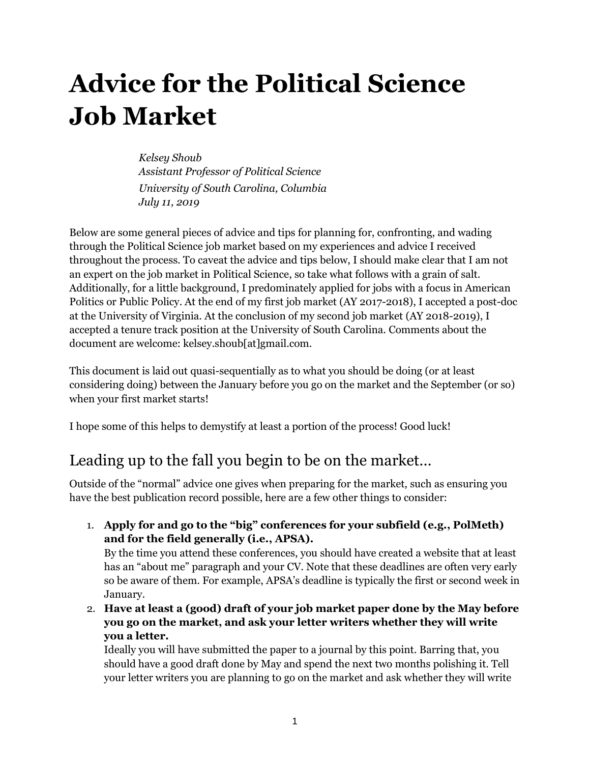# **Advice for the Political Science Job Market**

*Kelsey Shoub Assistant Professor of Political Science University of South Carolina, Columbia July 11, 2019*

Below are some general pieces of advice and tips for planning for, confronting, and wading through the Political Science job market based on my experiences and advice I received throughout the process. To caveat the advice and tips below, I should make clear that I am not an expert on the job market in Political Science, so take what follows with a grain of salt. Additionally, for a little background, I predominately applied for jobs with a focus in American Politics or Public Policy. At the end of my first job market (AY 2017-2018), I accepted a post-doc at the University of Virginia. At the conclusion of my second job market (AY 2018-2019), I accepted a tenure track position at the University of South Carolina. Comments about the document are welcome: kelsey.shoub[at]gmail.com.

This document is laid out quasi-sequentially as to what you should be doing (or at least considering doing) between the January before you go on the market and the September (or so) when your first market starts!

I hope some of this helps to demystify at least a portion of the process! Good luck!

### Leading up to the fall you begin to be on the market…

Outside of the "normal" advice one gives when preparing for the market, such as ensuring you have the best publication record possible, here are a few other things to consider:

- 1. **Apply for and go to the "big" conferences for your subfield (e.g., PolMeth) and for the field generally (i.e., APSA).** By the time you attend these conferences, you should have created a website that at least has an "about me" paragraph and your CV. Note that these deadlines are often very early so be aware of them. For example, APSA's deadline is typically the first or second week in January.
- 2. **Have at least a (good) draft of your job market paper done by the May before you go on the market, and ask your letter writers whether they will write you a letter.**

Ideally you will have submitted the paper to a journal by this point. Barring that, you should have a good draft done by May and spend the next two months polishing it. Tell your letter writers you are planning to go on the market and ask whether they will write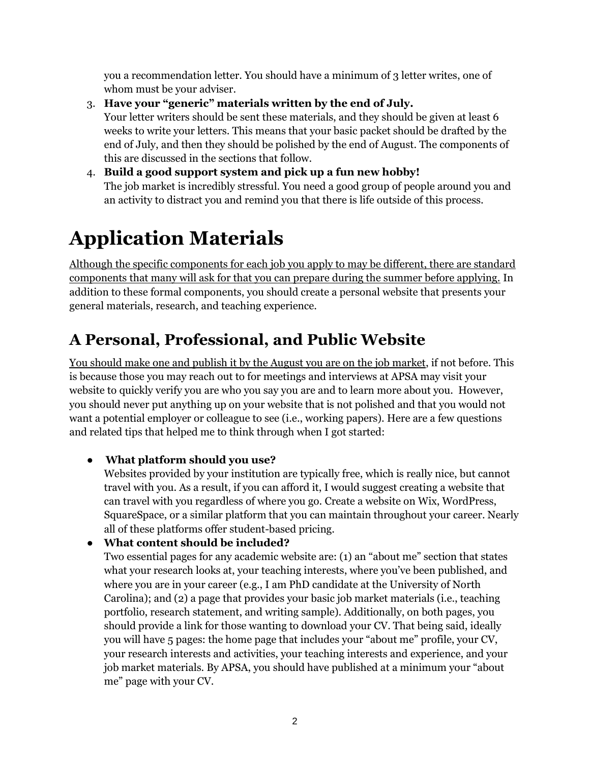you a recommendation letter. You should have a minimum of 3 letter writes, one of whom must be your adviser.

- 3. **Have your "generic" materials written by the end of July.** Your letter writers should be sent these materials, and they should be given at least 6 weeks to write your letters. This means that your basic packet should be drafted by the end of July, and then they should be polished by the end of August. The components of this are discussed in the sections that follow.
- 4. **Build a good support system and pick up a fun new hobby!** The job market is incredibly stressful. You need a good group of people around you and an activity to distract you and remind you that there is life outside of this process.

## **Application Materials**

Although the specific components for each job you apply to may be different, there are standard components that many will ask for that you can prepare during the summer before applying. In addition to these formal components, you should create a personal website that presents your general materials, research, and teaching experience.

## **A Personal, Professional, and Public Website**

You should make one and publish it by the August you are on the job market, if not before. This is because those you may reach out to for meetings and interviews at APSA may visit your website to quickly verify you are who you say you are and to learn more about you. However, you should never put anything up on your website that is not polished and that you would not want a potential employer or colleague to see (i.e., working papers). Here are a few questions and related tips that helped me to think through when I got started:

#### ● **What platform should you use?**

Websites provided by your institution are typically free, which is really nice, but cannot travel with you. As a result, if you can afford it, I would suggest creating a website that can travel with you regardless of where you go. Create a website on Wix, WordPress, SquareSpace, or a similar platform that you can maintain throughout your career. Nearly all of these platforms offer student-based pricing.

#### ● **What content should be included?**

Two essential pages for any academic website are: (1) an "about me" section that states what your research looks at, your teaching interests, where you've been published, and where you are in your career (e.g., I am PhD candidate at the University of North Carolina); and (2) a page that provides your basic job market materials (i.e., teaching portfolio, research statement, and writing sample). Additionally, on both pages, you should provide a link for those wanting to download your CV. That being said, ideally you will have 5 pages: the home page that includes your "about me" profile, your CV, your research interests and activities, your teaching interests and experience, and your job market materials. By APSA, you should have published at a minimum your "about me" page with your CV.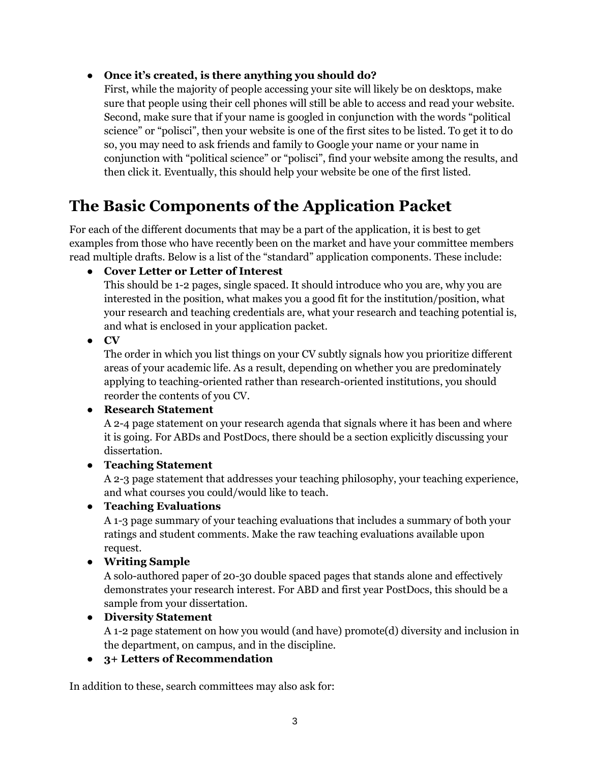#### ● **Once it's created, is there anything you should do?**

First, while the majority of people accessing your site will likely be on desktops, make sure that people using their cell phones will still be able to access and read your website. Second, make sure that if your name is googled in conjunction with the words "political science" or "polisci", then your website is one of the first sites to be listed. To get it to do so, you may need to ask friends and family to Google your name or your name in conjunction with "political science" or "polisci", find your website among the results, and then click it. Eventually, this should help your website be one of the first listed.

## **The Basic Components of the Application Packet**

For each of the different documents that may be a part of the application, it is best to get examples from those who have recently been on the market and have your committee members read multiple drafts. Below is a list of the "standard" application components. These include:

● **Cover Letter or Letter of Interest**

This should be 1-2 pages, single spaced. It should introduce who you are, why you are interested in the position, what makes you a good fit for the institution/position, what your research and teaching credentials are, what your research and teaching potential is, and what is enclosed in your application packet.

● **CV**

The order in which you list things on your CV subtly signals how you prioritize different areas of your academic life. As a result, depending on whether you are predominately applying to teaching-oriented rather than research-oriented institutions, you should reorder the contents of you CV.

#### ● **Research Statement**

A 2-4 page statement on your research agenda that signals where it has been and where it is going. For ABDs and PostDocs, there should be a section explicitly discussing your dissertation.

#### ● **Teaching Statement**

A 2-3 page statement that addresses your teaching philosophy, your teaching experience, and what courses you could/would like to teach.

#### ● **Teaching Evaluations**

A 1-3 page summary of your teaching evaluations that includes a summary of both your ratings and student comments. Make the raw teaching evaluations available upon request.

#### ● **Writing Sample**

A solo-authored paper of 20-30 double spaced pages that stands alone and effectively demonstrates your research interest. For ABD and first year PostDocs, this should be a sample from your dissertation.

#### ● **Diversity Statement**

A 1-2 page statement on how you would (and have) promote(d) diversity and inclusion in the department, on campus, and in the discipline.

#### ● **3+ Letters of Recommendation**

In addition to these, search committees may also ask for: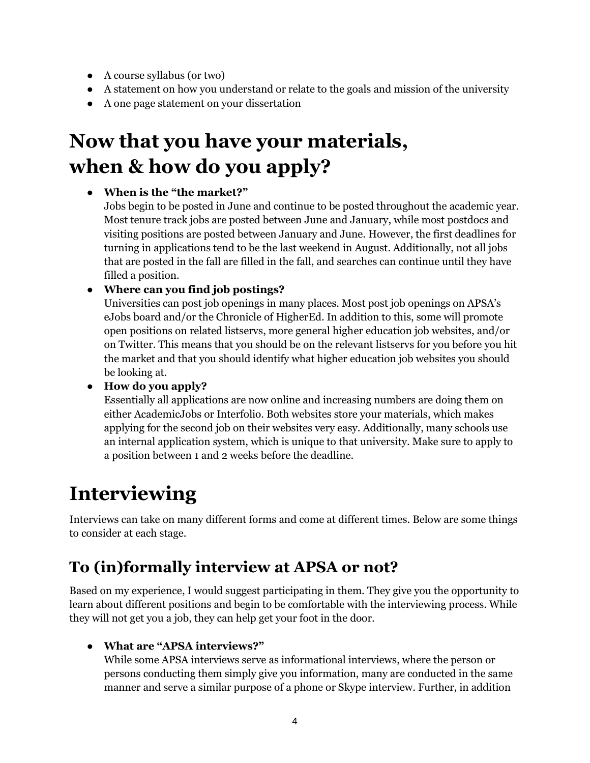- A course syllabus (or two)
- A statement on how you understand or relate to the goals and mission of the university
- A one page statement on your dissertation

## **Now that you have your materials, when & how do you apply?**

#### ● **When is the "the market?"**

Jobs begin to be posted in June and continue to be posted throughout the academic year. Most tenure track jobs are posted between June and January, while most postdocs and visiting positions are posted between January and June. However, the first deadlines for turning in applications tend to be the last weekend in August. Additionally, not all jobs that are posted in the fall are filled in the fall, and searches can continue until they have filled a position.

#### ● **Where can you find job postings?**

Universities can post job openings in many places. Most post job openings on APSA's eJobs board and/or the Chronicle of HigherEd. In addition to this, some will promote open positions on related listservs, more general higher education job websites, and/or on Twitter. This means that you should be on the relevant listservs for you before you hit the market and that you should identify what higher education job websites you should be looking at.

#### ● **How do you apply?**

Essentially all applications are now online and increasing numbers are doing them on either AcademicJobs or Interfolio. Both websites store your materials, which makes applying for the second job on their websites very easy. Additionally, many schools use an internal application system, which is unique to that university. Make sure to apply to a position between 1 and 2 weeks before the deadline.

## **Interviewing**

Interviews can take on many different forms and come at different times. Below are some things to consider at each stage.

## **To (in)formally interview at APSA or not?**

Based on my experience, I would suggest participating in them. They give you the opportunity to learn about different positions and begin to be comfortable with the interviewing process. While they will not get you a job, they can help get your foot in the door.

#### ● **What are "APSA interviews?"**

While some APSA interviews serve as informational interviews, where the person or persons conducting them simply give you information, many are conducted in the same manner and serve a similar purpose of a phone or Skype interview. Further, in addition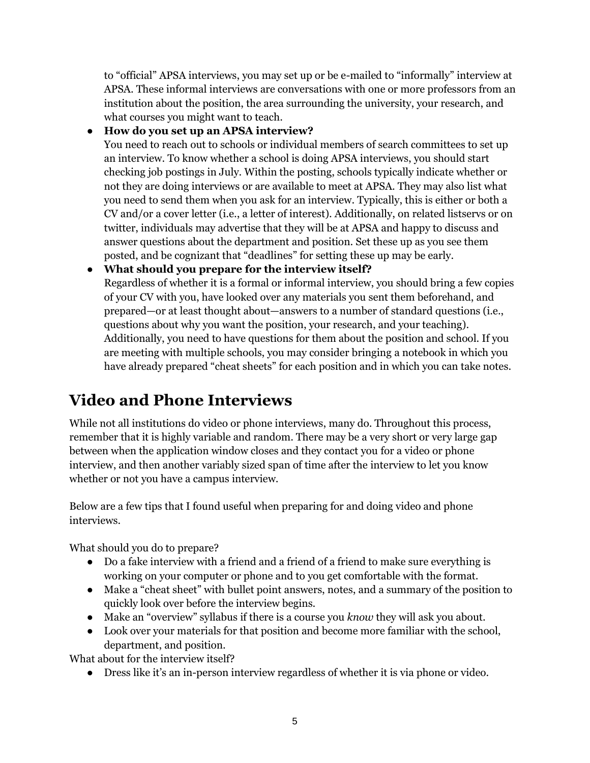to "official" APSA interviews, you may set up or be e-mailed to "informally" interview at APSA. These informal interviews are conversations with one or more professors from an institution about the position, the area surrounding the university, your research, and what courses you might want to teach.

#### ● **How do you set up an APSA interview?**

You need to reach out to schools or individual members of search committees to set up an interview. To know whether a school is doing APSA interviews, you should start checking job postings in July. Within the posting, schools typically indicate whether or not they are doing interviews or are available to meet at APSA. They may also list what you need to send them when you ask for an interview. Typically, this is either or both a CV and/or a cover letter (i.e., a letter of interest). Additionally, on related listservs or on twitter, individuals may advertise that they will be at APSA and happy to discuss and answer questions about the department and position. Set these up as you see them posted, and be cognizant that "deadlines" for setting these up may be early.

#### ● **What should you prepare for the interview itself?**

Regardless of whether it is a formal or informal interview, you should bring a few copies of your CV with you, have looked over any materials you sent them beforehand, and prepared—or at least thought about—answers to a number of standard questions (i.e., questions about why you want the position, your research, and your teaching). Additionally, you need to have questions for them about the position and school. If you are meeting with multiple schools, you may consider bringing a notebook in which you have already prepared "cheat sheets" for each position and in which you can take notes.

## **Video and Phone Interviews**

While not all institutions do video or phone interviews, many do. Throughout this process, remember that it is highly variable and random. There may be a very short or very large gap between when the application window closes and they contact you for a video or phone interview, and then another variably sized span of time after the interview to let you know whether or not you have a campus interview.

Below are a few tips that I found useful when preparing for and doing video and phone interviews.

What should you do to prepare?

- Do a fake interview with a friend and a friend of a friend to make sure everything is working on your computer or phone and to you get comfortable with the format.
- Make a "cheat sheet" with bullet point answers, notes, and a summary of the position to quickly look over before the interview begins.
- Make an "overview" syllabus if there is a course you *know* they will ask you about.
- Look over your materials for that position and become more familiar with the school, department, and position.

What about for the interview itself?

● Dress like it's an in-person interview regardless of whether it is via phone or video.